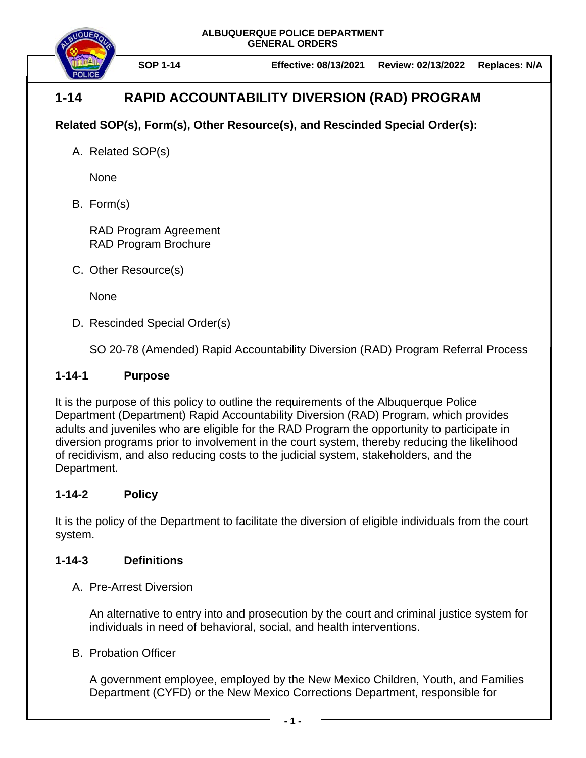

# **1-14 RAPID ACCOUNTABILITY DIVERSION (RAD) PROGRAM**

## **Related SOP(s), Form(s), Other Resource(s), and Rescinded Special Order(s):**

A. Related SOP(s)

None

B. Form(s)

RAD Program Agreement RAD Program Brochure

C. Other Resource(s)

None

D. Rescinded Special Order(s)

SO 20-78 (Amended) Rapid Accountability Diversion (RAD) Program Referral Process

## **1-14-1 Purpose**

It is the purpose of this policy to outline the requirements of the Albuquerque Police Department (Department) Rapid Accountability Diversion (RAD) Program, which provides adults and juveniles who are eligible for the RAD Program the opportunity to participate in diversion programs prior to involvement in the court system, thereby reducing the likelihood of recidivism, and also reducing costs to the judicial system, stakeholders, and the Department.

## **1-14-2 Policy**

It is the policy of the Department to facilitate the diversion of eligible individuals from the court system.

## **1-14-3 Definitions**

A. Pre-Arrest Diversion

An alternative to entry into and prosecution by the court and criminal justice system for individuals in need of behavioral, social, and health interventions.

B. Probation Officer

A government employee, employed by the New Mexico Children, Youth, and Families Department (CYFD) or the New Mexico Corrections Department, responsible for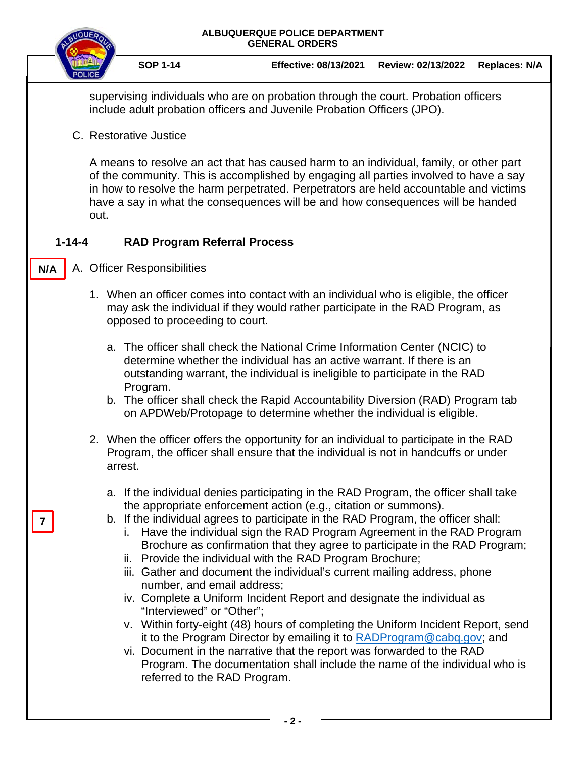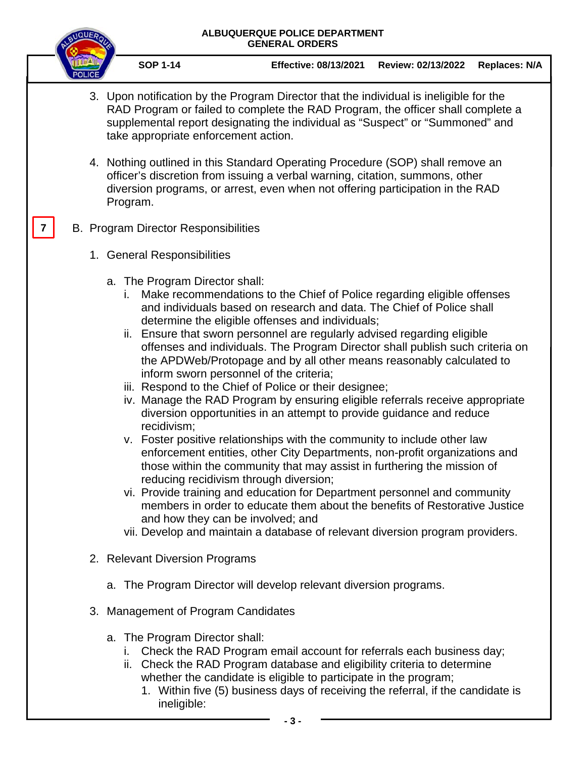

**SOP 1-14 Effective: 08/13/2021 Review: 02/13/2022 Replaces: N/A**

- 3. Upon notification by the Program Director that the individual is ineligible for the RAD Program or failed to complete the RAD Program, the officer shall complete a supplemental report designating the individual as "Suspect" or "Summoned" and take appropriate enforcement action.
- 4. Nothing outlined in this Standard Operating Procedure (SOP) shall remove an officer's discretion from issuing a verbal warning, citation, summons, other diversion programs, or arrest, even when not offering participation in the RAD Program.

#### B. Program Director Responsibilities **7**

- 1. General Responsibilities
	- a. The Program Director shall:
		- i. Make recommendations to the Chief of Police regarding eligible offenses and individuals based on research and data. The Chief of Police shall determine the eligible offenses and individuals;
		- ii. Ensure that sworn personnel are regularly advised regarding eligible offenses and individuals. The Program Director shall publish such criteria on the APDWeb/Protopage and by all other means reasonably calculated to inform sworn personnel of the criteria;
		- iii. Respond to the Chief of Police or their designee;
		- iv. Manage the RAD Program by ensuring eligible referrals receive appropriate diversion opportunities in an attempt to provide guidance and reduce recidivism;
		- v. Foster positive relationships with the community to include other law enforcement entities, other City Departments, non-profit organizations and those within the community that may assist in furthering the mission of reducing recidivism through diversion;
		- vi. Provide training and education for Department personnel and community members in order to educate them about the benefits of Restorative Justice and how they can be involved; and
		- vii. Develop and maintain a database of relevant diversion program providers.
- 2. Relevant Diversion Programs
	- a. The Program Director will develop relevant diversion programs.
- 3. Management of Program Candidates
	- a. The Program Director shall:
		- i. Check the RAD Program email account for referrals each business day;
		- ii. Check the RAD Program database and eligibility criteria to determine whether the candidate is eligible to participate in the program;
			- 1. Within five (5) business days of receiving the referral, if the candidate is ineligible: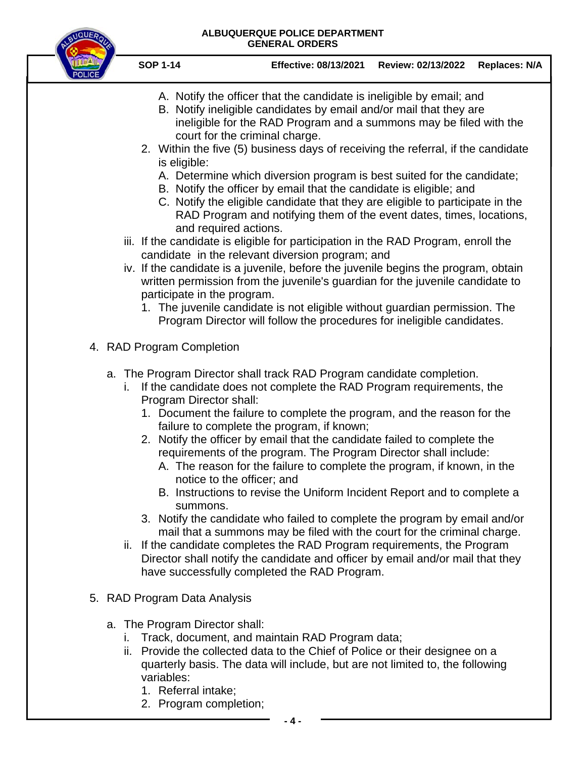

- **SOP 1-14 Effective: 08/13/2021 Review: 02/13/2022 Replaces: N/A**
	- A. Notify the officer that the candidate is ineligible by email; and
	- B. Notify ineligible candidates by email and/or mail that they are ineligible for the RAD Program and a summons may be filed with the court for the criminal charge.
- 2. Within the five (5) business days of receiving the referral, if the candidate is eligible:
	- A. Determine which diversion program is best suited for the candidate;
	- B. Notify the officer by email that the candidate is eligible; and
	- C. Notify the eligible candidate that they are eligible to participate in the RAD Program and notifying them of the event dates, times, locations, and required actions.
- iii. If the candidate is eligible for participation in the RAD Program, enroll the candidate in the relevant diversion program; and
- iv. If the candidate is a juvenile, before the juvenile begins the program, obtain written permission from the juvenile's guardian for the juvenile candidate to participate in the program.
	- 1. The juvenile candidate is not eligible without guardian permission. The Program Director will follow the procedures for ineligible candidates.
- 4. RAD Program Completion
	- a. The Program Director shall track RAD Program candidate completion.
		- i. If the candidate does not complete the RAD Program requirements, the Program Director shall:
			- 1. Document the failure to complete the program, and the reason for the failure to complete the program, if known;
			- 2. Notify the officer by email that the candidate failed to complete the requirements of the program. The Program Director shall include:
				- A. The reason for the failure to complete the program, if known, in the notice to the officer; and
				- B. Instructions to revise the Uniform Incident Report and to complete a summons.
			- 3. Notify the candidate who failed to complete the program by email and/or mail that a summons may be filed with the court for the criminal charge.
		- ii. If the candidate completes the RAD Program requirements, the Program Director shall notify the candidate and officer by email and/or mail that they have successfully completed the RAD Program.
- 5. RAD Program Data Analysis
	- a. The Program Director shall:
		- i. Track, document, and maintain RAD Program data;
		- ii. Provide the collected data to the Chief of Police or their designee on a quarterly basis. The data will include, but are not limited to, the following variables:
			- 1. Referral intake;
			- 2. Program completion;